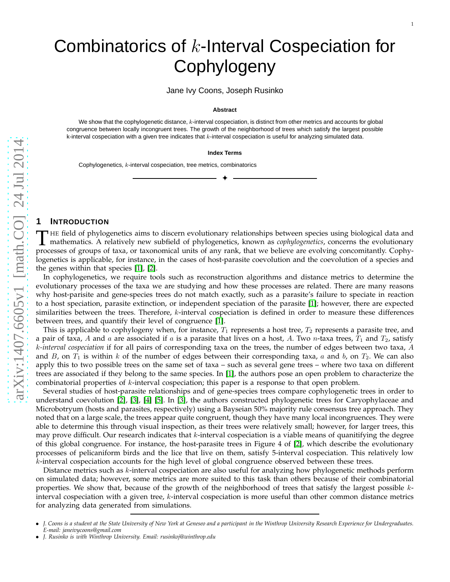# Combinatorics of k-Interval Cospeciation for **Cophylogeny**

Jane Ivy Coons, Joseph Rusinko

#### **Abstract**

We show that the cophylogenetic distance, k-interval cospeciation, is distinct from other metrics and accounts for global congruence between locally incongruent trees. The growth of the neighborhood of trees which satisfy the largest possible k-interval cospeciation with a given tree indicates that  $k$ -interval cospeciation is useful for analyzing simulated data.

#### **Index Terms**

✦

Cophylogenetics, k-interval cospeciation, tree metrics, combinatorics

### **1 INTRODUCTION**

THE field of phylogenetics aims to discern evolutionary relationships between species using biological data and<br>mathematics. A relatively new subfield of phylogenetics, known as *cophylogenetics*, concerns the evolutionary HE field of phylogenetics aims to discern evolutionary relationships between species using biological data and processes of groups of taxa, or taxonomical units of any rank, that we believe are evolving concomitantly. Cophylogenetics is applicable, for instance, in the cases of host-parasite coevolution and the coevolution of a species and the genes within that species [\[1\]](#page-7-0), [\[2\]](#page-7-1).

In cophylogenetics, we require tools such as reconstruction algorithms and distance metrics to determine the evolutionary processes of the taxa we are studying and how these processes are related. There are many reasons why host-parisite and gene-species trees do not match exactly, such as a parasite's failure to speciate in reaction to a host speciation, parasite extinction, or independent speciation of the parasite [\[1\]](#page-7-0); however, there are expected similarities between the trees. Therefore,  $k$ -interval cospeciation is defined in order to measure these differences between trees, and quantify their level of congruence [\[1\]](#page-7-0).

This is applicable to cophylogeny when, for instance,  $T_1$  represents a host tree,  $T_2$  represents a parasite tree, and a pair of taxa, A and a are associated if a is a parasite that lives on a host, A. Two n-taxa trees,  $T_1$  and  $T_2$ , satisfy k*-interval cospeciation* if for all pairs of corresponding taxa on the trees, the number of edges between two taxa, A and B, on  $T_1$  is within k of the number of edges between their corresponding taxa, a and b, on  $T_2$ . We can also apply this to two possible trees on the same set of taxa – such as several gene trees – where two taxa on different trees are associated if they belong to the same species. In [\[1\]](#page-7-0), the authors pose an open problem to characterize the combinatorial properties of  $k$ -interval cospeciation; this paper is a response to that open problem.

Several studies of host-parasite relationships and of gene-species trees compare cophylogenetic trees in order to understand coevolution [\[2\]](#page-7-1), [\[3\]](#page-7-2), [\[4\]](#page-7-3) [\[5\]](#page-7-4). In [\[3\]](#page-7-2), the authors constructed phylogenetic trees for Caryophylaceae and Microbotryum (hosts and parasites, respectively) using a Bayseian 50% majority rule consensus tree approach. They noted that on a large scale, the trees appear quite congruent, though they have many local incongruences. They were able to determine this through visual inspection, as their trees were relatively small; however, for larger trees, this may prove difficult. Our research indicates that k-interval cospeciation is a viable means of quanitifying the degree of this global congruence. For instance, the host-parasite trees in Figure 4 of [\[2\]](#page-7-1), which describe the evolutionary processes of pelicaniform birds and the lice that live on them, satisfy 5-interval cospeciation. This relatively low k-interval cospeciation accounts for the high level of global congruence observed between these trees.

Distance metrics such as k-interval cospeciation are also useful for analyzing how phylogenetic methods perform on simulated data; however, some metrics are more suited to this task than others because of their combinatorial properties. We show that, because of the growth of the neighborhood of trees that satisfy the largest possible kinterval cospeciation with a given tree,  $k$ -interval cospeciation is more useful than other common distance metrics for analyzing data generated from simulations.

<sup>•</sup> *J. Coons is a student at the State University of New York at Geneseo and a participant in the Winthrop University Research Experience for Undergraduates. E-mail: janeivycoons@gmail.com*

<sup>•</sup> *J. Rusinko is with Winthrop University. Email: rusinkoj@winthrop.edu*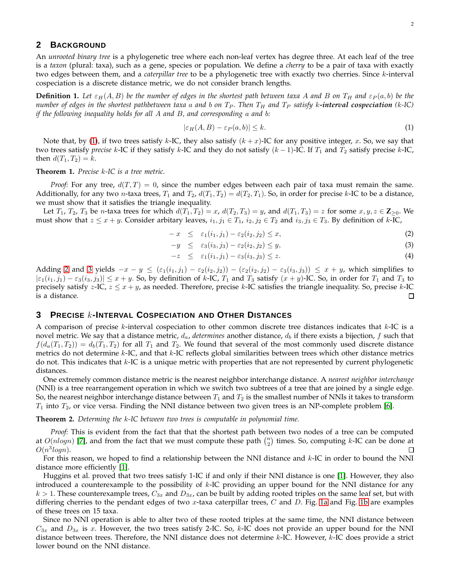# **2 BACKGROUND**

An *unrooted binary tree* is a phylogenetic tree where each non-leaf vertex has degree three. At each leaf of the tree is a *taxon* (plural: taxa), such as a gene, species or population. We define a *cherry* to be a pair of taxa with exactly two edges between them, and a *caterpillar tree* to be a phylogenetic tree with exactly two cherries. Since k-interval cospeciation is a discrete distance metric, we do not consider branch lengths.

**Definition 1.** Let  $\varepsilon_H(A, B)$  be the number of edges in the shortest path between taxa A and B on  $T_H$  and  $\varepsilon_P(a, b)$  be the *number of edges in the shortest pathbetween taxa a and b on*  $T_P$ *. Then*  $T_H$  *and*  $T_P$  *satisfy k-interval cospeciation (k-IC) if the following inequality holds for all* A *and* B*, and corresponding* a *and* b*:*

<span id="page-1-0"></span>
$$
|\varepsilon_H(A, B) - \varepsilon_P(a, b)| \le k. \tag{1}
$$

Note that, by [\(1\)](#page-1-0), if two trees satisfy k-IC, they also satisfy  $(k + x)$ -IC for any positive integer, x. So, we say that two trees satisfy *precise* k-IC if they satisfy k-IC and they do not satisfy  $(k-1)$ -IC. If  $T_1$  and  $T_2$  satisfy precise k-IC, then  $d(T_1, T_2) = k$ .

**Theorem 1.** *Precise* k*-IC is a tree metric.*

*Proof:* For any tree,  $d(T, T) = 0$ , since the number edges between each pair of taxa must remain the same. Additionally, for any two *n*-taxa trees,  $T_1$  and  $T_2$ ,  $d(T_1, T_2) = d(T_2, T_1)$ . So, in order for precise k-IC to be a distance, we must show that it satisfies the triangle inequality.

Let  $T_1$ ,  $T_2$ ,  $T_3$  be *n*-taxa trees for which  $d(T_1, T_2) = x$ ,  $d(T_2, T_3) = y$ , and  $d(T_1, T_3) = z$  for some  $x, y, z \in \mathbb{Z}_{\geq 0}$ . We must show that  $z \le x + y$ . Consider arbitary leaves,  $i_1, j_1 \in T_1$ ,  $i_2, j_2 \in T_2$  and  $i_3, j_3 \in T_3$ . By definition of k-IC,

<span id="page-1-1"></span>
$$
-x \leq \varepsilon_1(i_1,j_1) - \varepsilon_2(i_2,j_2) \leq x,\tag{2}
$$

$$
-y \leq \varepsilon_3(i_3, j_3) - \varepsilon_2(i_2, j_2) \leq y,\tag{3}
$$

$$
-z \leq \varepsilon_1(i_1,j_1) - \varepsilon_3(i_3,j_3) \leq z. \tag{4}
$$

Adding [2](#page-1-1) and [3](#page-1-1) yields  $-x - y \leq (\varepsilon_1(i_1, j_1) - \varepsilon_2(i_2, j_2)) - (\varepsilon_2(i_2, j_2) - \varepsilon_3(i_3, j_3)) \leq x + y$ , which simplifies to  $|\varepsilon_1(i_1, j_1) - \varepsilon_3(i_3, j_3)| \leq x + y$ . So, by definition of k-IC,  $T_1$  and  $T_3$  satisfy  $(x + y)$ -IC. So, in order for  $T_1$  and  $T_3$  to precisely satisfy *z*-IC, *z*  $\leq$  *x* + *y*, as needed. Therefore, precise *k*-IC satisfies the triangle inequality. So, precise *k*-IC is a distance. is a distance.

# **3 PRECISE** k**-INTERVAL COSPECIATION AND OTHER DISTANCES**

A comparison of precise  $k$ -interval cospeciation to other common discrete tree distances indicates that  $k$ -IC is a novel metric. We say that a distance metric,  $d_a$ , *determines* another distance,  $d_b$  if there exists a bijection,  $f$  such that  $f(d_a(T_1, T_2)) = d_b(T_1, T_2)$  for all  $T_1$  and  $T_2$ . We found that several of the most commonly used discrete distance metrics do not determine  $k$ -IC, and that  $k$ -IC reflects global similarities between trees which other distance metrics do not. This indicates that k-IC is a unique metric with properties that are not represented by current phylogenetic distances.

One extremely common distance metric is the nearest neighbor interchange distance. A *nearest neighbor interchange* (NNI) is a tree rearrangement operation in which we switch two subtrees of a tree that are joined by a single edge. So, the nearest neighbor interchange distance between  $T_1$  and  $T_2$  is the smallest number of NNIs it takes to transform  $T_1$  into  $T_2$ , or vice versa. Finding the NNI distance between two given trees is an NP-complete problem [\[6\]](#page-7-5).

**Theorem 2.** *Determing the* k*-IC between two trees is computable in polynomial time.*

*Proof:* This is evident from the fact that that the shortest path between two nodes of a tree can be computed at  $O(nlogn)$  [\[7\]](#page-7-6), and from the fact that we must compute these path  $\binom{n}{2}$  times. So, computing k-IC can be done at  $O(n^3 log n).$  $\Box$ 

For this reason, we hoped to find a relationship between the NNI distance and k-IC in order to bound the NNI distance more efficiently [\[1\]](#page-7-0).

Huggins et al. proved that two trees satisfy 1-IC if and only if their NNI distance is one [\[1\]](#page-7-0). However, they also introduced a counterexample to the possibility of  $k$ -IC providing an upper bound for the NNI distance for any  $k > 1$ . These counterexample trees,  $C_{3x}$  and  $D_{3x}$ , can be built by adding rooted triples on the same leaf set, but with differing cherries to the pendant edges of two x-taxa caterpillar trees,  $C$  and  $D$ . Fig. [1a](#page-2-0) and Fig. [1b](#page-2-0) are examples of these trees on 15 taxa.

Since no NNI operation is able to alter two of these rooted triples at the same time, the NNI distance between  $C_{3x}$  and  $D_{3x}$  is x. However, the two trees satisfy 2-IC. So, k-IC does not provide an upper bound for the NNI distance between trees. Therefore, the NNI distance does not determine k-IC. However, k-IC does provide a strict lower bound on the NNI distance.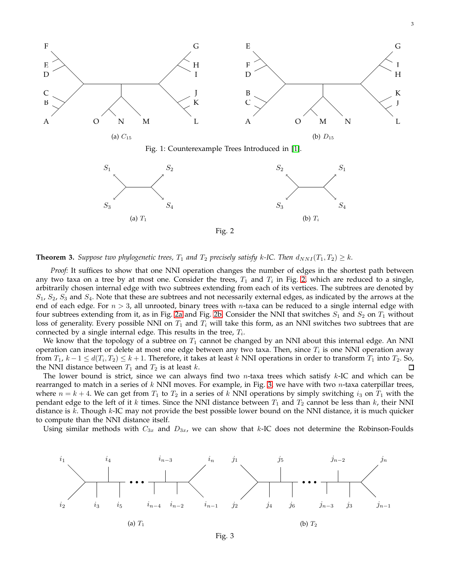<span id="page-2-0"></span>

Fig. 2

<span id="page-2-1"></span>

*Proof:* It suffices to show that one NNI operation changes the number of edges in the shortest path between any two taxa on a tree by at most one. Consider the trees,  $T_1$  and  $T_i$  in Fig. [2,](#page-2-1) which are reduced to a single, arbitrarily chosen internal edge with two subtrees extending from each of its vertices. The subtrees are denoted by  $S_1$ ,  $S_2$ ,  $S_3$  and  $S_4$ . Note that these are subtrees and not necessarily external edges, as indicated by the arrows at the end of each edge. For  $n > 3$ , all unrooted, binary trees with *n*-taxa can be reduced to a single internal edge with four subtrees extending from it, as in Fig. [2a](#page-2-1) and Fig. [2b.](#page-2-1) Consider the NNI that switches  $S_1$  and  $S_2$  on  $T_1$  without loss of generality. Every possible NNI on  $T_1$  and  $T_i$  will take this form, as an NNI switches two subtrees that are connected by a single internal edge. This results in the tree,  $T_i$ .

We know that the topology of a subtree on  $T_1$  cannot be changed by an NNI about this internal edge. An NNI operation can insert or delete at most one edge between any two taxa. Then, since  $T_i$  is one NNI operation away from  $T_1$ ,  $k-1 \le d(T_i,T_2) \le k+1$ . Therefore, it takes at least k NNI operations in order to transform  $T_1$  into  $T_2$ . So, the NNI distance between  $T_1$  and  $T_2$  is at least k.

The lower bound is strict, since we can always find two n-taxa trees which satisfy  $k$ -IC and which can be rearranged to match in a series of  $k$  NNI moves. For example, in Fig. [3,](#page-2-2) we have with two *n*-taxa caterpillar trees, where  $n = k + 4$ . We can get from  $T_1$  to  $T_2$  in a series of k NNI operations by simply switching  $i_3$  on  $T_1$  with the pendant edge to the left of it k times. Since the NNI distance between  $T_1$  and  $T_2$  cannot be less than k, their NNI distance is  $k$ . Though  $k$ -IC may not provide the best possible lower bound on the NNI distance, it is much quicker to compute than the NNI distance itself.

<span id="page-2-2"></span>Using similar methods with  $C_{3x}$  and  $D_{3x}$ , we can show that k-IC does not determine the Robinson-Foulds



Fig. 3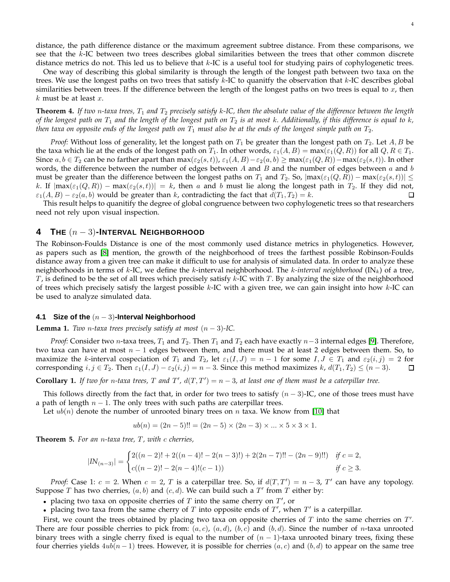distance, the path difference distance or the maximum agreement subtree distance. From these comparisons, we see that the k-IC between two trees describes global similarities between the trees that other common discrete distance metrics do not. This led us to believe that  $k$ -IC is a useful tool for studying pairs of cophylogenetic trees.

One way of describing this global similarity is through the length of the longest path between two taxa on the trees. We use the longest paths on two trees that satisfy  $k$ -IC to quanitfy the observation that  $k$ -IC describes global similarities between trees. If the difference between the length of the longest paths on two trees is equal to  $x$ , then  $k$  must be at least  $x$ .

**Theorem 4.** If two n-taxa trees,  $T_1$  and  $T_2$  precisely satisfy k-IC, then the absolute value of the difference between the length *of the longest path on*  $T_1$  *and the length of the longest path on*  $T_2$  *is at most k. Additionally, if this difference is equal to k, then taxa on opposite ends of the longest path on*  $T_1$  *must also be at the ends of the longest simple path on*  $T_2$ *.* 

*Proof:* Without loss of generality, let the longest path on  $T_1$  be greater than the longest path on  $T_2$ . Let  $A, B$  be the taxa which lie at the ends of the longest path on  $T_1$ . In other words,  $\varepsilon_1(A, B) = \max(\varepsilon_1(Q, R))$  for all  $Q, R \in T_1$ . Since  $a, b \in T_2$  can be no farther apart than  $\max(\varepsilon_2(s,t))$ ,  $\varepsilon_1(A, B) - \varepsilon_2(a, b) \ge \max(\varepsilon_1(Q, R)) - \max(\varepsilon_2(s,t))$ . In other words, the difference between the number of edges between  $A$  and  $B$  and the number of edges between  $a$  and  $b$ must be greater than the difference between the longest paths on  $T_1$  and  $T_2$ . So,  $|\max(\varepsilon_1(Q,R)) - \max(\varepsilon_2(s,t))| \leq$ k. If  $|\max(\varepsilon_1(Q,R)) - \max(\varepsilon_2(s,t))| = k$ , then a and b must lie along the longest path in  $T_2$ . If they did not,  $\varepsilon_1(A,B) - \varepsilon_2(a,b)$  would be greater than k, contradicting the fact that  $d(T_1, T_2) = k$ .  $\varepsilon_1(A, B) - \varepsilon_2(a, b)$  would be greater than k, contradicting the fact that  $d(T_1, T_2) = k$ .

This result helps to quanitify the degree of global congruence between two cophylogenetic trees so that researchers need not rely upon visual inspection.

# **4 THE** (<sup>n</sup> <sup>−</sup> 3)**-INTERVAL <sup>N</sup>EIGHBORHOOD**

The Robinson-Foulds Distance is one of the most commonly used distance metrics in phylogenetics. However, as papers such as [\[8\]](#page-7-7) mention, the growth of the neighborhood of trees the farthest possible Robinson-Foulds distance away from a given tree can make it difficult to use for analysis of simulated data. In order to analyze these neighborhoods in terms of  $k$ -IC, we define the  $k$ -interval neighborhood. The  $k$ -interval neighborhood  $(IN_k)$  of a tree,  $T$ , is defined to be the set of all trees which precisely satisfy  $k$ -IC with  $T$ . By analyzing the size of the neighborhood of trees which precisely satisfy the largest possible  $k$ -IC with a given tree, we can gain insight into how  $k$ -IC can be used to analyze simulated data.

#### **4.1 Size of the** (n − 3)**-Interval Neighborhood**

**Lemma 1.** *Two n*-taxa trees precisely satisfy at most  $(n-3)$ -IC.

*Proof:* Consider two *n*-taxa trees,  $T_1$  and  $T_2$ . Then  $T_1$  and  $T_2$  each have exactly  $n-3$  internal edges [\[9\]](#page-7-8). Therefore, two taxa can have at most  $n - 1$  edges between them, and there must be at least 2 edges between them. So, to maximize the k-interval cospeciation of  $T_1$  and  $T_2$ , let  $\varepsilon_1(I, J) = n - 1$  for some  $I, J \in T_1$  and  $\varepsilon_2(i, j) = 2$  for corresponding  $i, j \in T_2$ . Then  $\varepsilon_1(I, J) - \varepsilon_2(i, j) = n - 3$ . Since this method maximizes k,  $d(T_1, T_2$ corresponding  $i, j \in T_2$ . Then  $\varepsilon_1(I, J) - \varepsilon_2(i, j) = n - 3$ . Since this method maximizes k,  $d(T_1, T_2) \leq (n - 3)$ .

**Corollary 1.** If two for *n*-taxa trees, T and T',  $d(T, T') = n - 3$ , at least one of them must be a caterpillar tree.

This follows directly from the fact that, in order for two trees to satisfy  $(n-3)$ -IC, one of those trees must have a path of length  $n - 1$ . The only trees with such paths are caterpillar trees.

Let  $ub(n)$  denote the number of unrooted binary trees on n taxa. We know from [\[10\]](#page-7-9) that

$$
ub(n) = (2n - 5)!! = (2n - 5) \times (2n - 3) \times ... \times 5 \times 3 \times 1.
$$

**Theorem 5.** *For an* n*-taxa tree,* T *, with* c *cherries,*

$$
|IN_{(n-3)}| = \begin{cases} 2((n-2)! + 2((n-4)! - 2(n-3)!) + 2(2n-7)!! - (2n-9)!!) & \text{if } c = 2, \\ c((n-2)! - 2(n-4)!(c-1)) & \text{if } c \ge 3. \end{cases}
$$

*Proof:* Case 1:  $c = 2$ . When  $c = 2$ , T is a caterpillar tree. So, if  $d(T, T') = n - 3$ , T' can have any topology. Suppose T has two cherries,  $(a, b)$  and  $(c, d)$ . We can build such a T' from T either by:

• placing two taxa on opposite cherries of  $T$  into the same cherry on  $T'$ , or

• placing two taxa from the same cherry of  $T$  into opposite ends of  $T'$ , when  $T'$  is a caterpillar.

First, we count the trees obtained by placing two taxa on opposite cherries of  $T$  into the same cherries on  $T'$ . There are four possible cherries to pick from:  $(a, c)$ ,  $(a, d)$ ,  $(b, c)$  and  $(b, d)$ . Since the number of *n*-taxa unrooted binary trees with a single cherry fixed is equal to the number of  $(n - 1)$ -taxa unrooted binary trees, fixing these four cherries yields  $4ub(n-1)$  trees. However, it is possible for cherries  $(a, c)$  and  $(b, d)$  to appear on the same tree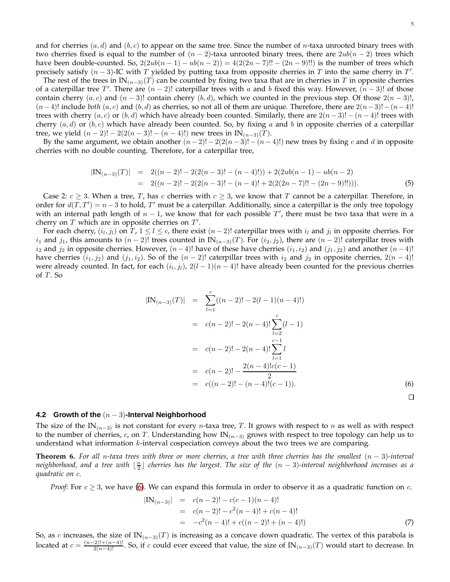and for cherries  $(a, d)$  and  $(b, c)$  to appear on the same tree. Since the number of n-taxa unrooted binary trees with two cherries fixed is equal to the number of  $(n-2)$ -taxa unrooted binary trees, there are  $2ub(n-2)$  trees which have been double-counted. So,  $2(2ub(n-1) - ub(n-2)) = 4(2(2n-7)!! - (2n-9)!!)$  is the number of trees which precisely satisfy  $(n-3)$ -IC with T yielded by putting taxa from opposite cherries in T into the same cherry in T'.

The rest of the trees in IN $_{(n-3)}(T)$  can be counted by fixing two taxa that are in cherries in T in opposite cherries of a caterpillar tree T'. There are  $(n-2)!$  caterpillar trees with a and b fixed this way. However,  $(n-3)!$  of those contain cherry  $(a, c)$  and  $(n - 3)!$  contain cherry  $(b, d)$ , which we counted in the previous step. Of those  $2(n - 3)!$ ,  $(n-4)!$  include *both*  $(a, c)$  and  $(b, d)$  as cherries, so not all of them are unique. Therefore, there are  $2(n-3)!-(n-4)!$ trees with cherry  $(a, c)$  or  $(b, d)$  which have already been counted. Similarly, there are  $2(n-3)! - (n-4)!$  trees with cherry  $(a, d)$  or  $(b, c)$  which have already been counted. So, by fixing a and b in opposite cherries of a caterpillar tree, we yield  $(n-2)! - 2(2(n-3)! - (n-4)!)$  new trees in IN<sub>(n-3)</sub>(T).

By the same argument, we obtain another  $(n-2)! - 2(2(n-3)! - (n-4)!)$  new trees by fixing c and d in opposite cherries with no double counting. Therefore, for a caterpillar tree,

$$
|\text{IN}_{(n-3)}(T)| = 2((n-2)! - 2(2(n-3)! - (n-4)!)) + 2(2ub(n-1) - ub(n-2))
$$
  
= 2((n-2)! - 2(2(n-3)! - (n-4)! + 2(2(2n-7)!! - (2n-9)!!))). (5)

Case 2:  $c \geq 3$ . When a tree, T, has c cherries with  $c \geq 3$ , we know that T cannot be a caterpillar. Therefore, in order for  $d(T, T') = n - 3$  to hold, T' must be a caterpillar. Additionally, since a caterpillar is the only tree topology with an internal path length of  $n - 1$ , we know that for each possible  $T'$ , there must be two taxa that were in a cherry on  $T$  which are in opposite cherries on  $T'$ .

For each cherry,  $(i_l, j_l)$  on  $T$ ,  $1 \le l \le c$ , there exist  $(n-2)!$  caterpillar trees with  $i_l$  and  $j_l$  in opposite cherries. For  $i_1$  and  $j_1$ , this amounts to  $(n-2)!$  trees counted in IN $_{(n-3)}(T)$ . For  $(i_2, j_2)$ , there are  $(n-2)!$  caterpillar trees with  $i_2$  and  $j_2$  in opposite cherries. However,  $(n-4)!$  have of these have cherries  $(i_1, i_2)$  and  $(j_1, j_2)$  and another  $(n-4)!$ have cherries  $(i_1, j_2)$  and  $(j_1, i_2)$ . So of the  $(n-2)!$  caterpillar trees with  $i_2$  and  $j_2$  in opposite cherries,  $2(n-4)!$ were already counted. In fact, for each  $(i_l, j_l)$ ,  $2(l-1)(n-4)!$  have already been counted for the previous cherries of  $T$ . So

<span id="page-4-0"></span>
$$
|\text{IN}_{(n-3)}(T)| = \sum_{l=1}^{c} ((n-2)! - 2(l-1)(n-4)!)
$$
  
=  $c(n-2)! - 2(n-4)! \sum_{l=2}^{c} (l-1)$   
=  $c(n-2)! - 2(n-4)! \sum_{l=1}^{c-1} l$   
=  $c(n-2)! - \frac{2(n-4)!c(c-1)}{2}$   
=  $c((n-2)! - (n-4)!(c-1)).$  (6)

#### **4.2 Growth of the** (n − 3)**-Interval Neighborhood**

The size of the IN $_{(n-3)}$  is not constant for every *n*-taxa tree, T. It grows with respect to *n* as well as with respect to the number of cherries, c, on T. Understanding how  $IN_{(n-3)}$  grows with respect to tree topology can help us to understand what information  $k$ -interval cospeciation conveys about the two trees we are comparing.

**Theorem 6.** *For all* n*-taxa trees with three or more cherries, a tree with three cherries has the smallest* (n − 3)*-interval* neighborhood, and a tree with  $\lfloor \frac{n}{2}\rfloor$  cherries has the largest. The size of the  $(n-3)$ -interval neighborhood increases as a *quadratic on* c*.*

*Proof:* For  $c \geq 3$ , we have [\(6\)](#page-4-0). We can expand this formula in order to observe it as a quadratic function on c.

<span id="page-4-1"></span>
$$
|\text{IN}_{(n-3)}| = c(n-2)! - c(c-1)(n-4)!
$$
  
= c(n-2)! - c<sup>2</sup>(n-4)! + c(n-4)!  
= -c<sup>2</sup>(n-4)! + c((n-2)! + (n-4)!) (7)

So, as c increases, the size of  $IN_{(n-3)}(T)$  is increasing as a concave down quadratic. The vertex of this parabola is located at  $c = \frac{(n-2)!+(n-4)!}{2(n-4)!}$ . So, if c could ever exceed that value, the size of IN $_{(n-3)}(T)$  would start to decrease. In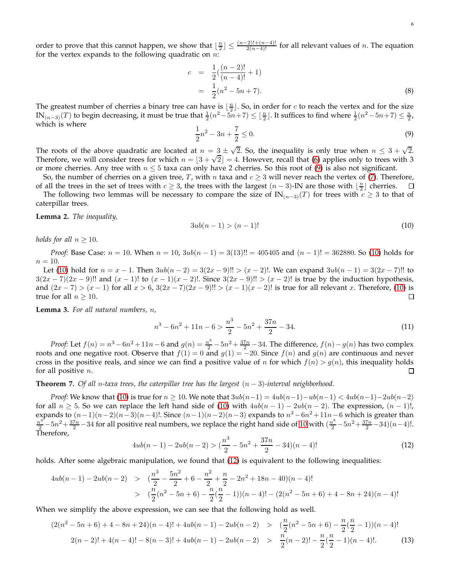order to prove that this cannot happen, we show that  $\lfloor \frac{n}{2} \rfloor \leq \frac{(n-2)!+(n-4)!}{2(n-4)!}$  for all relevant values of n. The equation for the vertex expands to the following quadratic on  $n$ :

$$
c = \frac{1}{2}(\frac{(n-2)!}{(n-4)!} + 1)
$$
  
= 
$$
\frac{1}{2}(n^2 - 5n + 7).
$$
 (8)

The greatest number of cherries a binary tree can have is  $\lfloor \frac{n}{2} \rfloor$ . So, in order for c to reach the vertex and for the size  $\text{IN}_{(n-3)}(T)$  to begin decreasing, it must be true that  $\frac{1}{2}(n^2-5n+7) \leq \lfloor \frac{n}{2} \rfloor$ . It suffices to find where  $\frac{1}{2}(n^2-5n+7) \leq \frac{n}{2}$ , which is where

<span id="page-5-0"></span>
$$
\frac{1}{2}n^2 - 3n + \frac{7}{2} \le 0.
$$
\n(9)

The roots of the above quadratic are located at  $n = 3 \pm \sqrt{2}$ . So, the inequality is only true when  $n \leq 3 + \sqrt{2}$ . Therefore, we will consider trees for which  $n = \lfloor 3 + \sqrt{2} \rfloor = 4$ . However, recall that [\(6\)](#page-4-0) applies only to trees with 3 or more cherries. Any tree with  $n \leq 5$  taxa can only have 2 cherries. So this root of [\(9\)](#page-5-0) is also not significant.

So, the number of cherries on a given tree, *T*, with *n* taxa and  $c \ge 3$  will never reach the vertex of [\(7\)](#page-4-1). Therefore, all the trees in the set of trees with  $c > 3$ , the trees with the largest  $(n-3)$ -IN are those with of all the trees in the set of trees with  $c \ge 3$ , the trees with the largest  $(n-3)$ -IN are those with  $\lfloor \frac{n}{2} \rfloor$  cherries. The following two lemmas will be necessary to compare the size of  $IN_{(n-3)}(T)$  for trees with  $c \geq 3$  to that of

caterpillar trees.

**Lemma 2.** *The inequality,*

<span id="page-5-1"></span>
$$
3ub(n-1) > (n-1)!
$$
 (10)

*holds for all*  $n \geq 10$ *.* 

*Proof:* Base Case:  $n = 10$ . When  $n = 10$ ,  $3ub(n - 1) = 3(13)!! = 405405$  and  $(n - 1)! = 362880$ . So [\(10\)](#page-5-1) holds for  $n=10$ .

Let [\(10\)](#page-5-1) hold for  $n = x - 1$ . Then  $3ub(n - 2) = 3(2x - 9)!$   $(x - 2)!$ . We can expand  $3ub(n - 1) = 3(2x - 7)!$  to  $3(2x-7)(2x-9)!!$  and  $(x-1)!$  to  $(x-1)(x-2)!$ . Since  $3(2x-9)!! > (x-2)!$  is true by the induction hypothesis, and  $(2x - 7) > (x - 1)$  for all  $x > 6$ ,  $3(2x - 7)(2x - 9)!! > (x - 1)(x - 2)!$  is true for all relevant x. Therefore, [\(10\)](#page-5-1) is true for all  $n > 10$ . □ true for all  $n > 10$ .

**Lemma 3.** *For all natural numbers,* n*,*

$$
n^3 - 6n^2 + 11n - 6 > \frac{n^3}{2} - 5n^2 + \frac{37n}{2} - 34.
$$
 (11)

*Proof:* Let  $f(n) = n^3 - 6n^2 + 11n - 6$  and  $g(n) = \frac{n^3}{2} - 5n^2 + \frac{37n}{2} - 34$ . The difference,  $f(n) - g(n)$  has two complex roots and one negative root. Observe that  $f(1) = 0$  and  $g(1) = -20$ . Since  $f(n)$  and  $g(n)$  are continuous and never cross in the positive reals, and since we can find a positive value of n for which  $f(n) > g(n)$ , this inequality holds for all positive  $n$ .  $\Box$ 

**Theorem 7.** *Of all* n*-taxa trees, the caterpillar tree has the largest* (n − 3)*-interval neighborhood.*

*Proof:* We know that [\(10\)](#page-5-1) is true for  $n \geq 10$ . We note that  $3ub(n-1) = 4ub(n-1) - ub(n-1) < 4ub(n-1) - 2ub(n-2)$ for all  $n \geq 5$ . So we can replace the left hand side of [\(10\)](#page-5-1) with  $4ub(n-1) - 2ub(n-2)$ . The expression,  $(n-1)!$ , expands to  $(n-1)(n-2)(n-3)(n-4)!$ . Since  $(n-1)(n-2)(n-3)$  expands to  $n^3 - 6n^2 + 11n - 6$  which is greater than  $\frac{n^3}{2}$  –  $5n^2 + \frac{37n}{2}$  – 34 for all positive real numbers, we replace the right hand side of [10](#page-5-1) with  $(\frac{n^3}{2} - 5n^2 + \frac{37n}{2} - 34)(n-4)!$ . Therefore,

<span id="page-5-2"></span>
$$
4ub(n-1) - 2ub(n-2) > \left(\frac{n^3}{2} - 5n^2 + \frac{37n}{2} - 34\right)(n-4)!\tag{12}
$$

holds. After some algebraic manipulation, we found that  $(12)$  is equivalent to the following inequalities:

$$
4ub(n-1) - 2ub(n-2) > \left(\frac{n^3}{2} - \frac{5n^2}{2} + 6 - \frac{n^2}{2} + \frac{n}{2} - 2n^2 + 18n - 40(n-4)\right)
$$
  
> 
$$
\left(\frac{n}{2}(n^2 - 5n + 6) - \frac{n}{2}(\frac{n}{2} - 1)(n-4)! - (2(n^2 - 5n + 6) + 4 - 8n + 24)(n-4)!\right)
$$

When we simplify the above expression, we can see that the following hold as well.

$$
(2(n^{2}-5n+6)+4-8n+24)(n-4)!+4ub(n-1)-2ub(n-2) > (\frac{n}{2}(n^{2}-5n+6)-\frac{n}{2}(\frac{n}{2}-1))(n-4)!
$$
  

$$
2(n-2)!+4(n-4)!-8(n-3)!+4ub(n-1)-2ub(n-2) > \frac{n}{2}(n-2)!-\frac{n}{2}(\frac{n}{2}-1)(n-4)!. \qquad (13)
$$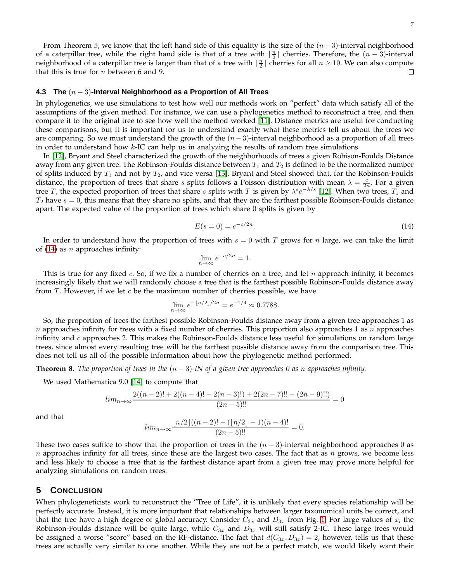From Theorem 5, we know that the left hand side of this equality is the size of the  $(n-3)$ -interval neighborhood of a caterpillar tree, while the right hand side is that of a tree with  $\lfloor \frac{n}{2} \rfloor$  cherries. Therefore, the  $(n-3)$ -interval neighborhood of a caterpillar tree is larger than that of a tree with  $\lfloor \frac{n}{2} \rfloor$  cherries for all  $n \ge 10$ . We can also compute that this is true for  $n$  between 6 and 9.

#### **4.3 The** (n − 3)**-Interval Neighborhood as a Proportion of All Trees**

In phylogenetics, we use simulations to test how well our methods work on "perfect" data which satisfy all of the assumptions of the given method. For instance, we can use a phylogenetics method to reconstruct a tree, and then compare it to the original tree to see how well the method worked [\[11\]](#page-7-10). Distance metrics are useful for conducting these comparisons, but it is important for us to understand exactly what these metrics tell us about the trees we are comparing. So we must understand the growth of the  $(n-3)$ -interval neighborhood as a proportion of all trees in order to understand how  $k$ -IC can help us in analyzing the results of random tree simulations.

In [\[12\]](#page-7-11), Bryant and Steel characterized the growth of the neighborhoods of trees a given Robison-Foulds Distance away from any given tree. The Robinson-Foulds distance between  $T_1$  and  $T_2$  is defined to be the normalized number of splits induced by  $T_1$  and not by  $T_2$ , and vice versa [\[13\]](#page-7-12). Bryant and Steel showed that, for the Robinson-Foulds distance, the proportion of trees that share *s* splits follows a Poisson distribution with mean  $\lambda = \frac{c}{2n}$ . For a given tree T, the expected proportion of trees that share  $s$  splits with T is given by  $\lambda^s e^{-\lambda/s}$  [\[12\]](#page-7-11). When two trees,  $T_1$  and  $T_2$  have  $s = 0$ , this means that they share no splits, and that they are the farthest possible Robinson-Foulds distance apart. The expected value of the proportion of trees which share 0 splits is given by

<span id="page-6-0"></span>
$$
E(s=0) = e^{-c/2n}.
$$
\n(14)

In order to understand how the proportion of trees with  $s = 0$  with T grows for n large, we can take the limit of [\(14\)](#page-6-0) as *n* approaches infinity:

$$
\lim_{n \to \infty} e^{-c/2n} = 1.
$$

This is true for any fixed c. So, if we fix a number of cherries on a tree, and let  $n$  approach infinity, it becomes increasingly likely that we will randomly choose a tree that is the farthest possible Robinson-Foulds distance away from  $T$ . However, if we let  $c$  be the maximum number of cherries possible, we have

$$
\lim_{n \to \infty} e^{-\lfloor n/2 \rfloor/2n} = e^{-1/4} \approx 0.7788.
$$

So, the proportion of trees the farthest possible Robinson-Foulds distance away from a given tree approaches 1 as n approaches infinity for trees with a fixed number of cherries. This proportion also approaches 1 as n approaches infinity and  $c$  approaches 2. This makes the Robinson-Foulds distance less useful for simulations on random large trees, since almost every resulting tree will be the farthest possible distance away from the comparison tree. This does not tell us all of the possible information about how the phylogenetic method performed.

**Theorem 8.** *The proportion of trees in the*  $(n-3)$ *-IN of a given tree approaches 0 as n approaches infinity.* 

We used Mathematica 9.0 [\[14\]](#page-7-13) to compute that

$$
lim_{n \to \infty} \frac{2((n-2)! + 2((n-4)! - 2(n-3)!) + 2(2n-7)!! - (2n-9)!!)}{(2n-5)!!} = 0
$$

and that

$$
lim_{n \to \infty} \frac{\lfloor n/2 \rfloor ((n-2)! - (\lfloor n/2 \rfloor - 1)(n-4)!)}{(2n-5)!!} = 0.
$$

These two cases suffice to show that the proportion of trees in the  $(n-3)$ -interval neighborhood approaches 0 as n approaches infinity for all trees, since these are the largest two cases. The fact that as n grows, we become less and less likely to choose a tree that is the farthest distance apart from a given tree may prove more helpful for analyzing simulations on random trees.

## **5 CONCLUSION**

When phylogeneticists work to reconstruct the "Tree of Life", it is unlikely that every species relationship will be perfectly accurate. Instead, it is more important that relationships between larger taxonomical units be correct, and that the tree have a high degree of global accuracy. Consider  $C_{3x}$  and  $D_{3x}$  from Fig. [1.](#page-2-0) For large values of x, the Robinson-Foulds distance will be quite large, while  $C_{3x}$  and  $D_{3x}$  will still satisfy 2-IC. These large trees would be assigned a worse "score" based on the RF-distance. The fact that  $d(C_{3x}, D_{3x}) = 2$ , however, tells us that these trees are actually very similar to one another. While they are not be a perfect match, we would likely want their